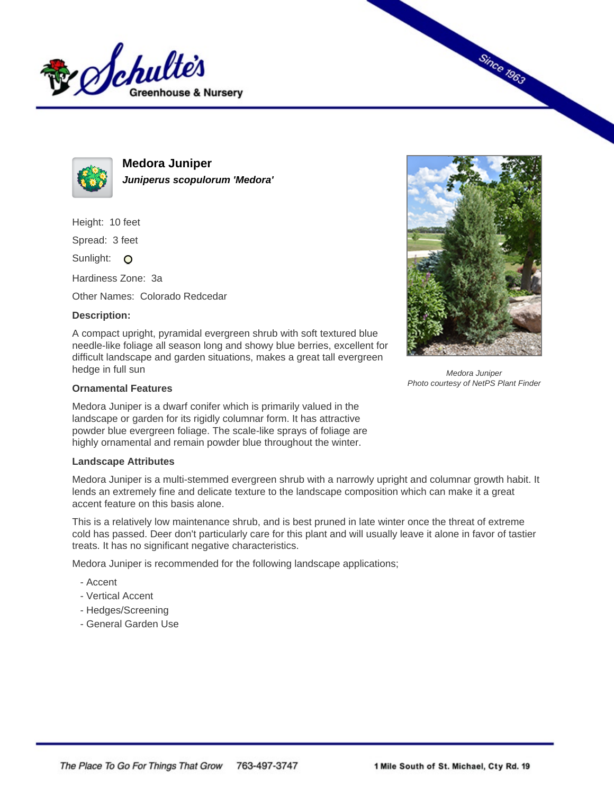



**Medora Juniper Juniperus scopulorum 'Medora'**

Height: 10 feet

Spread: 3 feet

Sunlight: O

Hardiness Zone: 3a

Other Names: Colorado Redcedar

## **Description:**

A compact upright, pyramidal evergreen shrub with soft textured blue needle-like foliage all season long and showy blue berries, excellent for difficult landscape and garden situations, makes a great tall evergreen hedge in full sun

## **Ornamental Features**

Medora Juniper is a dwarf conifer which is primarily valued in the landscape or garden for its rigidly columnar form. It has attractive powder blue evergreen foliage. The scale-like sprays of foliage are highly ornamental and remain powder blue throughout the winter.

## **Landscape Attributes**

Medora Juniper is a multi-stemmed evergreen shrub with a narrowly upright and columnar growth habit. It lends an extremely fine and delicate texture to the landscape composition which can make it a great accent feature on this basis alone.

This is a relatively low maintenance shrub, and is best pruned in late winter once the threat of extreme cold has passed. Deer don't particularly care for this plant and will usually leave it alone in favor of tastier treats. It has no significant negative characteristics.

Medora Juniper is recommended for the following landscape applications;

- Accent
- Vertical Accent
- Hedges/Screening
- General Garden Use



**Since 1963** 

Medora Juniper Photo courtesy of NetPS Plant Finder